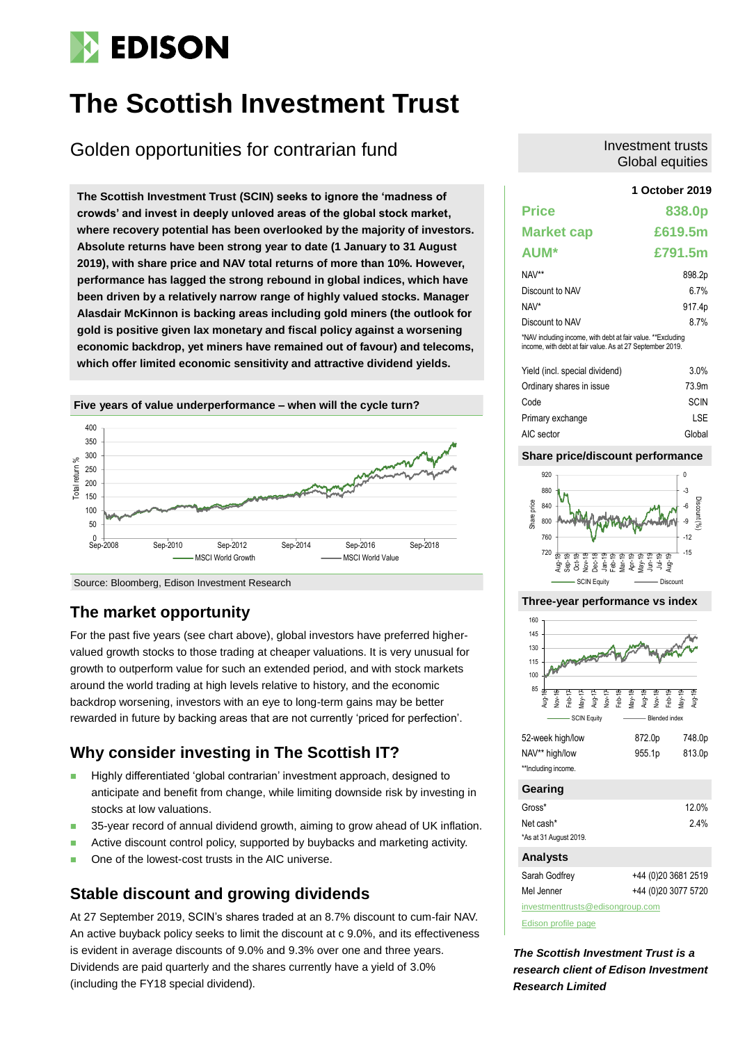# **EDISON**

# **The Scottish Investment Trust**

## Golden opportunities for contrarian fund

**1 October 2019 The Scottish Investment Trust (SCIN) seeks to ignore the 'madness of crowds' and invest in deeply unloved areas of the global stock market, where recovery potential has been overlooked by the majority of investors. Absolute returns have been strong year to date (1 January to 31 August 2019), with share price and NAV total returns of more than 10%. However, performance has lagged the strong rebound in global indices, which have been driven by a relatively narrow range of highly valued stocks. Manager Alasdair McKinnon is backing areas including gold miners (the outlook for gold is positive given lax monetary and fiscal policy against a worsening economic backdrop, yet miners have remained out of favour) and telecoms, which offer limited economic sensitivity and attractive dividend yields.**



### **The market opportunity**

For the past five years (see chart above), global investors have preferred highervalued growth stocks to those trading at cheaper valuations. It is very unusual for growth to outperform value for such an extended period, and with stock markets around the world trading at high levels relative to history, and the economic backdrop worsening, investors with an eye to long-term gains may be better rewarded in future by backing areas that are not currently 'priced for perfection'.

### **Why consider investing in The Scottish IT?**

- Highly differentiated 'global contrarian' investment approach, designed to anticipate and benefit from change, while limiting downside risk by investing in stocks at low valuations.
- 35-year record of annual dividend growth, aiming to grow ahead of UK inflation.
- **Active discount control policy, supported by buybacks and marketing activity.**
- One of the lowest-cost trusts in the AIC universe.

### **Stable discount and growing dividends**

At 27 September 2019, SCIN's shares traded at an 8.7% discount to cum-fair NAV. An active buyback policy seeks to limit the discount at c 9.0%, and its effectiveness is evident in average discounts of 9.0% and 9.3% over one and three years. Dividends are paid quarterly and the shares currently have a yield of 3.0% (including the FY18 special dividend).

#### Investment trusts Global equities

| <b>Price</b>                                                                                                             | 838.0p  |
|--------------------------------------------------------------------------------------------------------------------------|---------|
| <b>Market cap</b>                                                                                                        | £619.5m |
| <b>AUM*</b>                                                                                                              | £791.5m |
| NAV**                                                                                                                    | 898.2p  |
| Discount to NAV                                                                                                          | 6 7%    |
| NAV*                                                                                                                     | 917.4p  |
| Discount to NAV                                                                                                          | 8.7%    |
| *NAV including income, with debt at fair value. **Excluding<br>income, with debt at fair value. As at 27 September 2019. |         |

| Yield (incl. special dividend) | $3.0\%$     |
|--------------------------------|-------------|
| Ordinary shares in issue       | 73.9m       |
| Code                           | <b>SCIN</b> |
| Primary exchange               | <b>LSE</b>  |
| AIC sector                     | Global      |

#### **Share price/discount performance**



#### **Three-year performance vs index**



| 52-week high/low    | 872.0 <sub>p</sub> | 748.0p |
|---------------------|--------------------|--------|
| NAV** high/low      | 955.1 <sub>p</sub> | 813.0p |
| **Including income. |                    |        |

| Gearing                |                     |
|------------------------|---------------------|
| Gross*                 | 12.0%               |
| Net cash*              | 24%                 |
| *As at 31 August 2019. |                     |
| <b>Analysts</b>        |                     |
| Sarah Godfrey          | +44 (0)20 3681 2519 |

| Jaian Ouulley                    | <b>THH (U)ZU JUUT ZJT3</b> |
|----------------------------------|----------------------------|
| Mel Jenner                       | +44 (0)20 3077 5720        |
| investmenttrusts@edisongroup.com |                            |

[Edison profile page](https://www.edisongroup.com/company/the-scottish-investment-trust/2525/)

*The Scottish Investment Trust is a research client of Edison Investment Research Limited*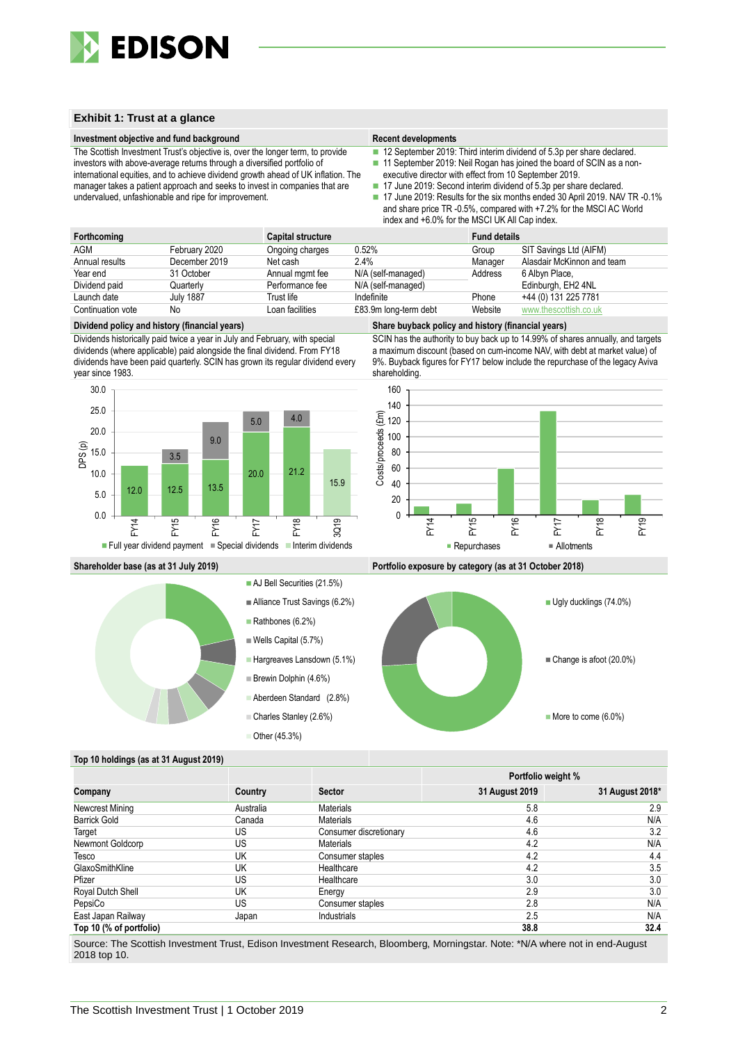

#### **Exhibit 1: Trust at a glance**

#### **Investment objective and fund background Recent developments Recent developments**

The Scottish Investment Trust's objective is, over the longer term, to provide investors with above-average returns through a diversified portfolio of international equities, and to achieve dividend growth ahead of UK inflation. The manager takes a patient approach and seeks to invest in companies that are undervalued, unfashionable and ripe for improvement.

■ 12 September 2019: Third interim dividend of 5.3p per share declared.

- 11 September 2019: Neil Rogan has joined the board of SCIN as a non-
- executive director with effect from 10 September 2019.
- 17 June 2019: Second interim dividend of 5.3p per share declared. 17 June 2019: Results for the six months ended 30 April 2019. NAV TR -0.1% and share price TR -0.5%, compared with +7.2% for the MSCI AC World
	- index and +6.0% for the MSCI UK All Cap index.

| Forthcoming       |                  | <b>Capital structure</b> |                       | <b>Fund details</b> |                            |
|-------------------|------------------|--------------------------|-----------------------|---------------------|----------------------------|
| AGM               | February 2020    | Ongoing charges          | 0.52%                 | Group               | SIT Savings Ltd (AIFM)     |
| Annual results    | December 2019    | Net cash                 | 2.4%                  | Manager             | Alasdair McKinnon and team |
| Year end          | 31 October       | Annual mgmt fee          | N/A (self-managed)    | Address             | 6 Albyn Place,             |
| Dividend paid     | Quarterly        | Performance fee          | N/A (self-managed)    |                     | Edinburgh, EH2 4NL         |
| Launch date       | <b>July 1887</b> | Trust life               | Indefinite            | Phone               | +44 (0) 131 225 7781       |
| Continuation vote | No               | Loan facilities          | £83.9m long-term debt | Website             | www.thescottish.co.uk      |

#### **Dividend policy and history (financial years) Share buyback policy and history (financial years)**

Dividends historically paid twice a year in July and February, with special dividends (where applicable) paid alongside the final dividend. From FY18 dividends have been paid quarterly. SCIN has grown its regular dividend every year since 1983.







SCIN has the authority to buy back up to 14.99% of shares annually, and targets a maximum discount (based on cum-income NAV, with debt at market value) of 9%. Buyback figures for FY17 below include the repurchase of the legacy Aviva shareholding.







#### **Top 10 holdings (as at 31 August 2019)**

|                         |           |                        |                | <b>Portfolio weight %</b> |
|-------------------------|-----------|------------------------|----------------|---------------------------|
| Company                 | Country   | <b>Sector</b>          | 31 August 2019 | 31 August 2018*           |
| Newcrest Mining         | Australia | <b>Materials</b>       | 5.8            | 2.9                       |
| <b>Barrick Gold</b>     | Canada    | <b>Materials</b>       | 4.6            | N/A                       |
| Target                  | US        | Consumer discretionary | 4.6            | 3.2                       |
| Newmont Goldcorp        | US        | <b>Materials</b>       | 4.2            | N/A                       |
| Tesco                   | UK        | Consumer staples       | 4.2            | 4.4                       |
| GlaxoSmithKline         | UK        | Healthcare             | 4.2            | 3.5                       |
| Pfizer                  | US        | Healthcare             | 3.0            | 3.0                       |
| Royal Dutch Shell       | UK        | Energy                 | 2.9            | 3.0                       |
| PepsiCo                 | US        | Consumer staples       | 2.8            | N/A                       |
| East Japan Railway      | Japan     | Industrials            | 2.5            | N/A                       |
| Top 10 (% of portfolio) |           |                        | 38.8           | 32.4                      |

Source: The Scottish Investment Trust, Edison Investment Research, Bloomberg, Morningstar. Note: \*N/A where not in end-August 2018 top 10.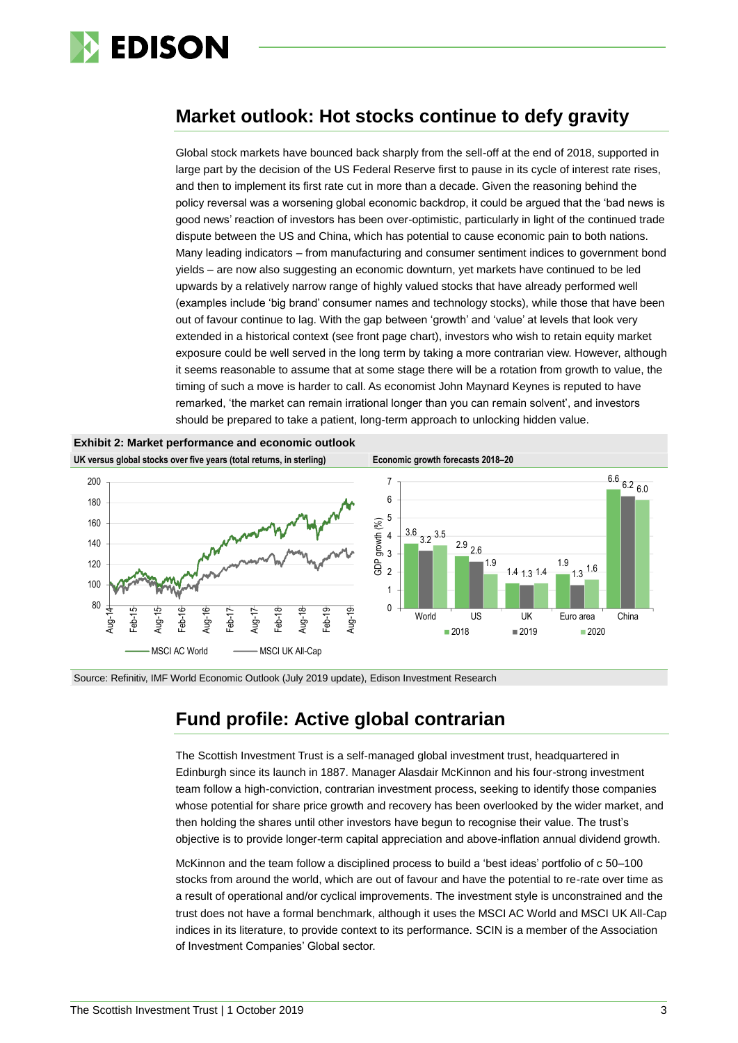

### **Market outlook: Hot stocks continue to defy gravity**

Global stock markets have bounced back sharply from the sell-off at the end of 2018, supported in large part by the decision of the US Federal Reserve first to pause in its cycle of interest rate rises, and then to implement its first rate cut in more than a decade. Given the reasoning behind the policy reversal was a worsening global economic backdrop, it could be argued that the 'bad news is good news' reaction of investors has been over-optimistic, particularly in light of the continued trade dispute between the US and China, which has potential to cause economic pain to both nations. Many leading indicators – from manufacturing and consumer sentiment indices to government bond yields – are now also suggesting an economic downturn, yet markets have continued to be led upwards by a relatively narrow range of highly valued stocks that have already performed well (examples include 'big brand' consumer names and technology stocks), while those that have been out of favour continue to lag. With the gap between 'growth' and 'value' at levels that look very extended in a historical context (see front page chart), investors who wish to retain equity market exposure could be well served in the long term by taking a more contrarian view. However, although it seems reasonable to assume that at some stage there will be a rotation from growth to value, the timing of such a move is harder to call. As economist John Maynard Keynes is reputed to have remarked, 'the market can remain irrational longer than you can remain solvent', and investors should be prepared to take a patient, long-term approach to unlocking hidden value.



Source: Refinitiv, IMF World Economic Outlook (July 2019 update), Edison Investment Research

### **Fund profile: Active global contrarian**

The Scottish Investment Trust is a self-managed global investment trust, headquartered in Edinburgh since its launch in 1887. Manager Alasdair McKinnon and his four-strong investment team follow a high-conviction, contrarian investment process, seeking to identify those companies whose potential for share price growth and recovery has been overlooked by the wider market, and then holding the shares until other investors have begun to recognise their value. The trust's objective is to provide longer-term capital appreciation and above-inflation annual dividend growth.

McKinnon and the team follow a disciplined process to build a 'best ideas' portfolio of c 50–100 stocks from around the world, which are out of favour and have the potential to re-rate over time as a result of operational and/or cyclical improvements. The investment style is unconstrained and the trust does not have a formal benchmark, although it uses the MSCI AC World and MSCI UK All-Cap indices in its literature, to provide context to its performance. SCIN is a member of the Association of Investment Companies' Global sector.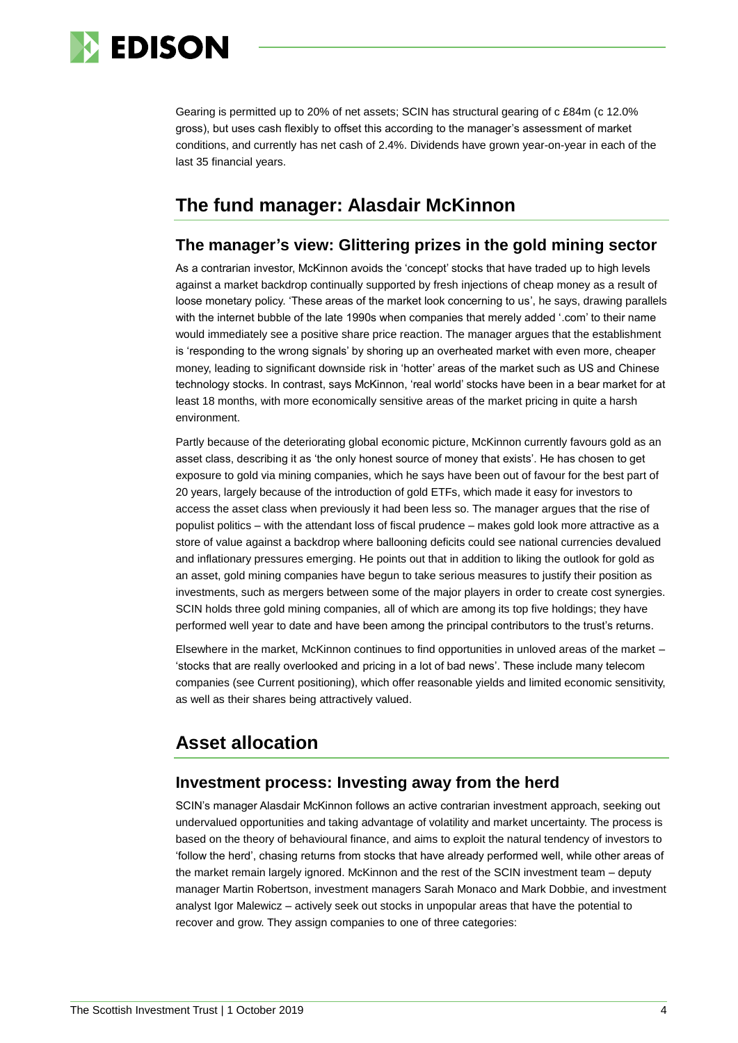

Gearing is permitted up to 20% of net assets; SCIN has structural gearing of c £84m (c 12.0% gross), but uses cash flexibly to offset this according to the manager's assessment of market conditions, and currently has net cash of 2.4%. Dividends have grown year-on-year in each of the last 35 financial years.

### **The fund manager: Alasdair McKinnon**

#### **The manager's view: Glittering prizes in the gold mining sector**

As a contrarian investor, McKinnon avoids the 'concept' stocks that have traded up to high levels against a market backdrop continually supported by fresh injections of cheap money as a result of loose monetary policy. 'These areas of the market look concerning to us', he says, drawing parallels with the internet bubble of the late 1990s when companies that merely added '.com' to their name would immediately see a positive share price reaction. The manager argues that the establishment is 'responding to the wrong signals' by shoring up an overheated market with even more, cheaper money, leading to significant downside risk in 'hotter' areas of the market such as US and Chinese technology stocks. In contrast, says McKinnon, 'real world' stocks have been in a bear market for at least 18 months, with more economically sensitive areas of the market pricing in quite a harsh environment.

Partly because of the deteriorating global economic picture, McKinnon currently favours gold as an asset class, describing it as 'the only honest source of money that exists'. He has chosen to get exposure to gold via mining companies, which he says have been out of favour for the best part of 20 years, largely because of the introduction of gold ETFs, which made it easy for investors to access the asset class when previously it had been less so. The manager argues that the rise of populist politics – with the attendant loss of fiscal prudence – makes gold look more attractive as a store of value against a backdrop where ballooning deficits could see national currencies devalued and inflationary pressures emerging. He points out that in addition to liking the outlook for gold as an asset, gold mining companies have begun to take serious measures to justify their position as investments, such as mergers between some of the major players in order to create cost synergies. SCIN holds three gold mining companies, all of which are among its top five holdings; they have performed well year to date and have been among the principal contributors to the trust's returns.

Elsewhere in the market, McKinnon continues to find opportunities in unloved areas of the market – 'stocks that are really overlooked and pricing in a lot of bad news'. These include many telecom companies (see Current positioning), which offer reasonable yields and limited economic sensitivity, as well as their shares being attractively valued.

## **Asset allocation**

#### **Investment process: Investing away from the herd**

SCIN's manager Alasdair McKinnon follows an active contrarian investment approach, seeking out undervalued opportunities and taking advantage of volatility and market uncertainty. The process is based on the theory of behavioural finance, and aims to exploit the natural tendency of investors to 'follow the herd', chasing returns from stocks that have already performed well, while other areas of the market remain largely ignored. McKinnon and the rest of the SCIN investment team – deputy manager Martin Robertson, investment managers Sarah Monaco and Mark Dobbie, and investment analyst Igor Malewicz – actively seek out stocks in unpopular areas that have the potential to recover and grow. They assign companies to one of three categories: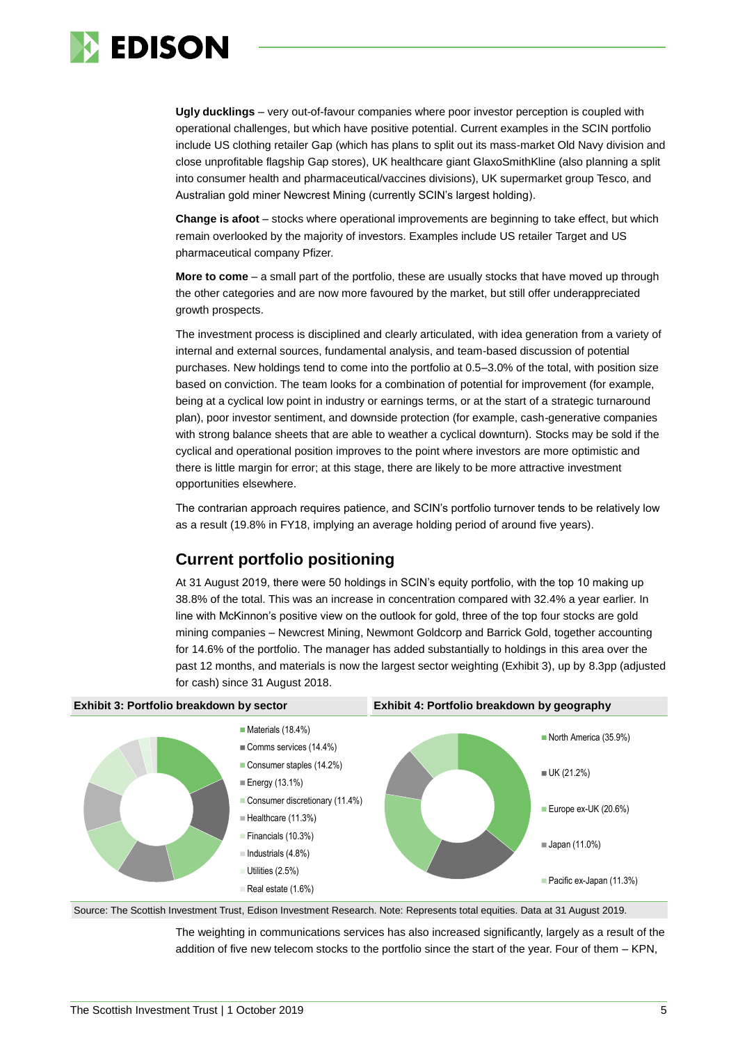

**Ugly ducklings** – very out-of-favour companies where poor investor perception is coupled with operational challenges, but which have positive potential. Current examples in the SCIN portfolio include US clothing retailer Gap (which has plans to split out its mass-market Old Navy division and close unprofitable flagship Gap stores), UK healthcare giant GlaxoSmithKline (also planning a split into consumer health and pharmaceutical/vaccines divisions), UK supermarket group Tesco, and Australian gold miner Newcrest Mining (currently SCIN's largest holding).

**Change is afoot** – stocks where operational improvements are beginning to take effect, but which remain overlooked by the majority of investors. Examples include US retailer Target and US pharmaceutical company Pfizer.

**More to come** – a small part of the portfolio, these are usually stocks that have moved up through the other categories and are now more favoured by the market, but still offer underappreciated growth prospects.

The investment process is disciplined and clearly articulated, with idea generation from a variety of internal and external sources, fundamental analysis, and team-based discussion of potential purchases. New holdings tend to come into the portfolio at 0.5–3.0% of the total, with position size based on conviction. The team looks for a combination of potential for improvement (for example, being at a cyclical low point in industry or earnings terms, or at the start of a strategic turnaround plan), poor investor sentiment, and downside protection (for example, cash-generative companies with strong balance sheets that are able to weather a cyclical downturn). Stocks may be sold if the cyclical and operational position improves to the point where investors are more optimistic and there is little margin for error; at this stage, there are likely to be more attractive investment opportunities elsewhere.

The contrarian approach requires patience, and SCIN's portfolio turnover tends to be relatively low as a result (19.8% in FY18, implying an average holding period of around five years).

### **Current portfolio positioning**

At 31 August 2019, there were 50 holdings in SCIN's equity portfolio, with the top 10 making up 38.8% of the total. This was an increase in concentration compared with 32.4% a year earlier. In line with McKinnon's positive view on the outlook for gold, three of the top four stocks are gold mining companies – Newcrest Mining, Newmont Goldcorp and Barrick Gold, together accounting for 14.6% of the portfolio. The manager has added substantially to holdings in this area over the past 12 months, and materials is now the largest sector weighting (Exhibit 3), up by 8.3pp (adjusted for cash) since 31 August 2018.



Source: The Scottish Investment Trust, Edison Investment Research. Note: Represents total equities. Data at 31 August 2019.

The weighting in communications services has also increased significantly, largely as a result of the addition of five new telecom stocks to the portfolio since the start of the year. Four of them – KPN,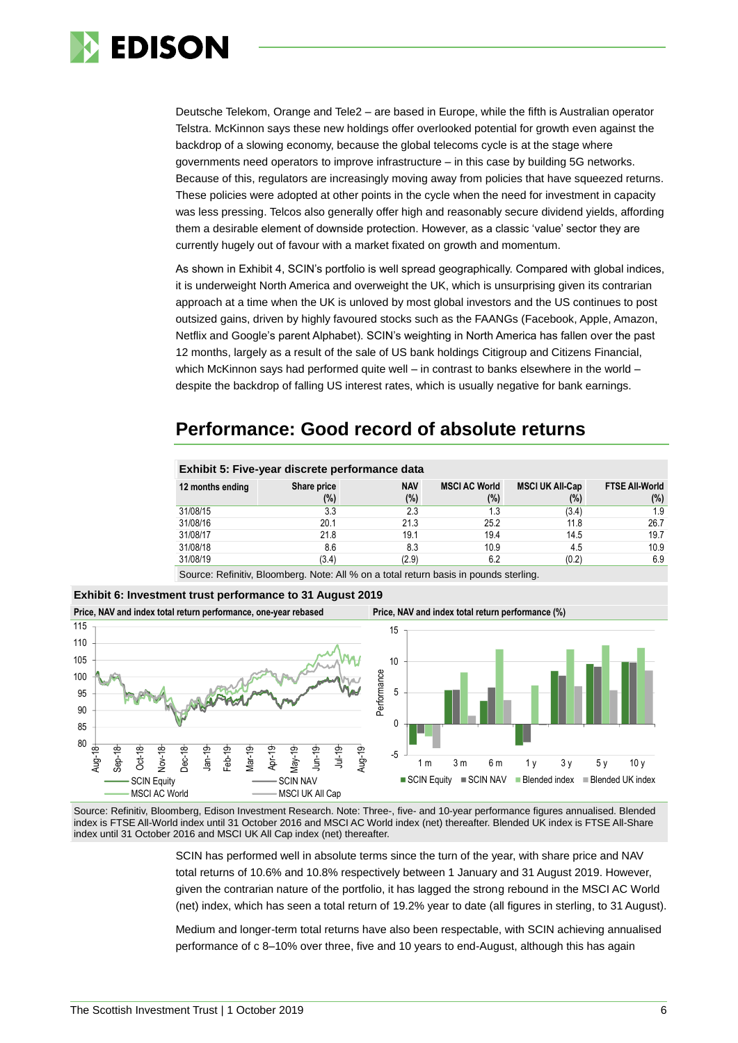

Deutsche Telekom, Orange and Tele2 – are based in Europe, while the fifth is Australian operator Telstra. McKinnon says these new holdings offer overlooked potential for growth even against the backdrop of a slowing economy, because the global telecoms cycle is at the stage where governments need operators to improve infrastructure – in this case by building 5G networks. Because of this, regulators are increasingly moving away from policies that have squeezed returns. These policies were adopted at other points in the cycle when the need for investment in capacity was less pressing. Telcos also generally offer high and reasonably secure dividend yields, affording them a desirable element of downside protection. However, as a classic 'value' sector they are currently hugely out of favour with a market fixated on growth and momentum.

As shown in Exhibit 4, SCIN's portfolio is well spread geographically. Compared with global indices, it is underweight North America and overweight the UK, which is unsurprising given its contrarian approach at a time when the UK is unloved by most global investors and the US continues to post outsized gains, driven by highly favoured stocks such as the FAANGs (Facebook, Apple, Amazon, Netflix and Google's parent Alphabet). SCIN's weighting in North America has fallen over the past 12 months, largely as a result of the sale of US bank holdings Citigroup and Citizens Financial, which McKinnon says had performed quite well – in contrast to banks elsewhere in the world – despite the backdrop of falling US interest rates, which is usually negative for bank earnings.

## **Performance: Good record of absolute returns**

| Exhibit 5: Five-year discrete performance data |                       |                   |                             |                                  |                                  |  |  |  |
|------------------------------------------------|-----------------------|-------------------|-----------------------------|----------------------------------|----------------------------------|--|--|--|
| 12 months ending                               | Share price<br>$(\%)$ | <b>NAV</b><br>(%) | <b>MSCI AC World</b><br>(%) | <b>MSCI UK All-Cap</b><br>$(\%)$ | <b>FTSE All-World</b><br>$(\% )$ |  |  |  |
| 31/08/15                                       | 3.3                   | 2.3               | 1.3                         | (3.4)                            | 1.9                              |  |  |  |
| 31/08/16                                       | 20.1                  | 21.3              | 25.2                        | 11.8                             | 26.7                             |  |  |  |
| 31/08/17                                       | 21.8                  | 19.1              | 19.4                        | 14.5                             | 19.7                             |  |  |  |
| 31/08/18                                       | 8.6                   | 8.3               | 10.9                        | 4.5                              | 10.9                             |  |  |  |
| 31/08/19                                       | (3.4)                 | (2.9)             | 6.2                         | (0.2)                            | 6.9                              |  |  |  |

Source: Refinitiv, Bloomberg. Note: All % on a total return basis in pounds sterling.



Source: Refinitiv, Bloomberg, Edison Investment Research. Note: Three-, five- and 10-year performance figures annualised. Blended index is FTSE All-World index until 31 October 2016 and MSCI AC World index (net) thereafter. Blended UK index is FTSE All-Share index until 31 October 2016 and MSCI UK All Cap index (net) thereafter.

> SCIN has performed well in absolute terms since the turn of the year, with share price and NAV total returns of 10.6% and 10.8% respectively between 1 January and 31 August 2019. However, given the contrarian nature of the portfolio, it has lagged the strong rebound in the MSCI AC World (net) index, which has seen a total return of 19.2% year to date (all figures in sterling, to 31 August).

> Medium and longer-term total returns have also been respectable, with SCIN achieving annualised performance of c 8–10% over three, five and 10 years to end-August, although this has again

**Exhibit 6: Investment trust performance to 31 August 2019**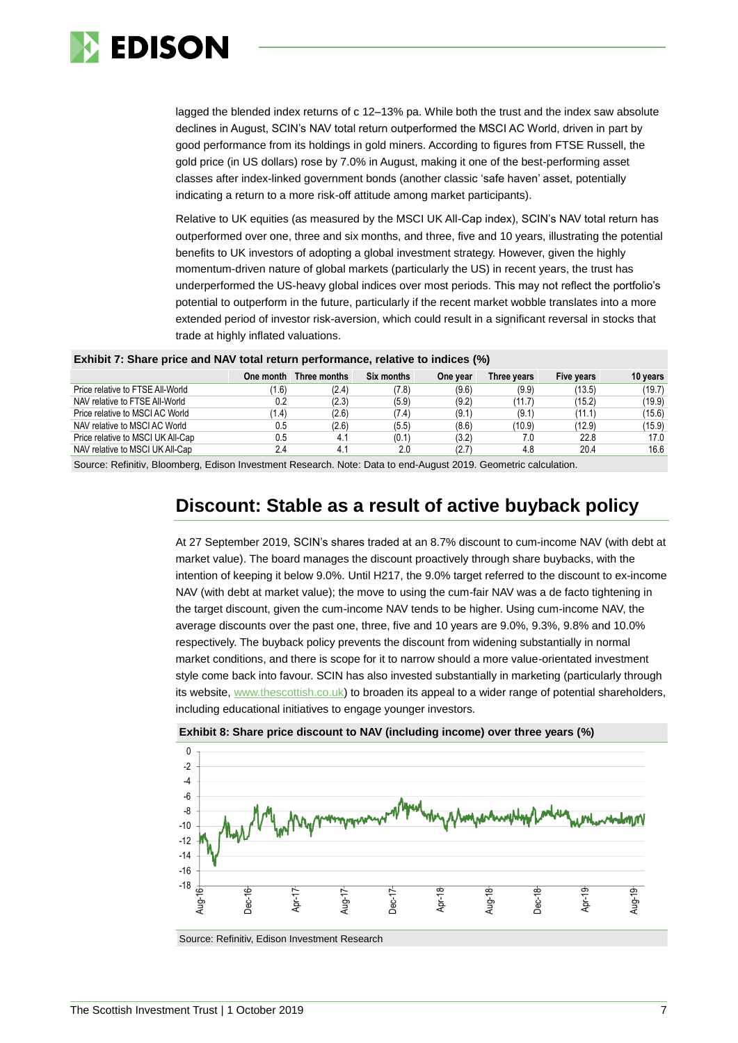

lagged the blended index returns of c 12–13% pa. While both the trust and the index saw absolute declines in August, SCIN's NAV total return outperformed the MSCI AC World, driven in part by good performance from its holdings in gold miners. According to figures from FTSE Russell, the gold price (in US dollars) rose by 7.0% in August, making it one of the best-performing asset classes after index-linked government bonds (another classic 'safe haven' asset, potentially indicating a return to a more risk-off attitude among market participants).

Relative to UK equities (as measured by the MSCI UK All-Cap index), SCIN's NAV total return has outperformed over one, three and six months, and three, five and 10 years, illustrating the potential benefits to UK investors of adopting a global investment strategy. However, given the highly momentum-driven nature of global markets (particularly the US) in recent years, the trust has underperformed the US-heavy global indices over most periods. This may not reflect the portfolio's potential to outperform in the future, particularly if the recent market wobble translates into a more extended period of investor risk-aversion, which could result in a significant reversal in stocks that trade at highly inflated valuations.

| Exhibit 7: Share price and NAV total return performance, relative to indices (%) |  |  |  |  |  |
|----------------------------------------------------------------------------------|--|--|--|--|--|
|----------------------------------------------------------------------------------|--|--|--|--|--|

|                                   | One month | Three months | Six months | One year | Three vears | Five years | 10 years |
|-----------------------------------|-----------|--------------|------------|----------|-------------|------------|----------|
| Price relative to FTSE All-World  | (1.6)     | (2.4)        | (7.8)      | (9.6)    | (9.9)       | (13.5)     | (19.7)   |
| NAV relative to FTSE All-World    | 0.2       | (2.3)        | (5.9)      | (9.2)    | (11.7)      | (15.2)     | (19.9)   |
| Price relative to MSCI AC World   | (1.4)     | (2.6)        | (7.4)      | (9.1)    | (9.1)       | (11.1)     | (15.6)   |
| NAV relative to MSCI AC World     | 0.5       | (2.6)        | (5.5)      | (8.6)    | (10.9)      | (12.9)     | (15.9)   |
| Price relative to MSCI UK All-Cap | 0.5       | 4.1          | (0.1)      | (3.2)    | 7.0         | 22.8       | 17.0     |
| NAV relative to MSCI UK All-Cap   | 2.4       | 4.1          | 2.0        | (2.7)    | 4.8         | 20.4       | 16.6     |
|                                   |           |              |            |          |             |            |          |

Source: Refinitiv, Bloomberg, Edison Investment Research. Note: Data to end-August 2019. Geometric calculation.

### **Discount: Stable as a result of active buyback policy**

At 27 September 2019, SCIN's shares traded at an 8.7% discount to cum-income NAV (with debt at market value). The board manages the discount proactively through share buybacks, with the intention of keeping it below 9.0%. Until H217, the 9.0% target referred to the discount to ex-income NAV (with debt at market value); the move to using the cum-fair NAV was a de facto tightening in the target discount, given the cum-income NAV tends to be higher. Using cum-income NAV, the average discounts over the past one, three, five and 10 years are 9.0%, 9.3%, 9.8% and 10.0% respectively. The buyback policy prevents the discount from widening substantially in normal market conditions, and there is scope for it to narrow should a more value-orientated investment style come back into favour. SCIN has also invested substantially in marketing (particularly through its website, [www.thescottish.co.uk\)](http://www.thescottish.co.uk/) to broaden its appeal to a wider range of potential shareholders, including educational initiatives to engage younger investors.



**Exhibit 8: Share price discount to NAV (including income) over three years (%)**

Source: Refinitiv, Edison Investment Research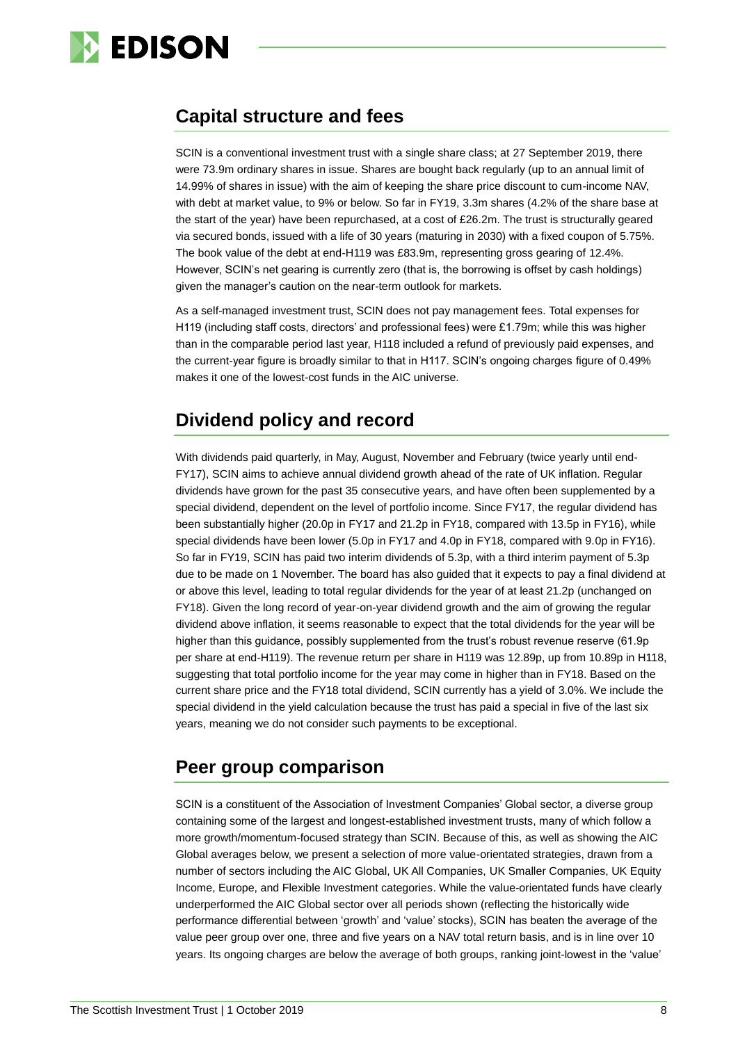

### **Capital structure and fees**

SCIN is a conventional investment trust with a single share class; at 27 September 2019, there were 73.9m ordinary shares in issue. Shares are bought back regularly (up to an annual limit of 14.99% of shares in issue) with the aim of keeping the share price discount to cum-income NAV, with debt at market value, to 9% or below. So far in FY19, 3.3m shares (4.2% of the share base at the start of the year) have been repurchased, at a cost of £26.2m. The trust is structurally geared via secured bonds, issued with a life of 30 years (maturing in 2030) with a fixed coupon of 5.75%. The book value of the debt at end-H119 was £83.9m, representing gross gearing of 12.4%. However, SCIN's net gearing is currently zero (that is, the borrowing is offset by cash holdings) given the manager's caution on the near-term outlook for markets.

As a self-managed investment trust, SCIN does not pay management fees. Total expenses for H119 (including staff costs, directors' and professional fees) were £1.79m; while this was higher than in the comparable period last year, H118 included a refund of previously paid expenses, and the current-year figure is broadly similar to that in H117. SCIN's ongoing charges figure of 0.49% makes it one of the lowest-cost funds in the AIC universe.

### **Dividend policy and record**

With dividends paid quarterly, in May, August, November and February (twice yearly until end-FY17), SCIN aims to achieve annual dividend growth ahead of the rate of UK inflation. Regular dividends have grown for the past 35 consecutive years, and have often been supplemented by a special dividend, dependent on the level of portfolio income. Since FY17, the regular dividend has been substantially higher (20.0p in FY17 and 21.2p in FY18, compared with 13.5p in FY16), while special dividends have been lower (5.0p in FY17 and 4.0p in FY18, compared with 9.0p in FY16). So far in FY19, SCIN has paid two interim dividends of 5.3p, with a third interim payment of 5.3p due to be made on 1 November. The board has also guided that it expects to pay a final dividend at or above this level, leading to total regular dividends for the year of at least 21.2p (unchanged on FY18). Given the long record of year-on-year dividend growth and the aim of growing the regular dividend above inflation, it seems reasonable to expect that the total dividends for the year will be higher than this guidance, possibly supplemented from the trust's robust revenue reserve (61.9p per share at end-H119). The revenue return per share in H119 was 12.89p, up from 10.89p in H118, suggesting that total portfolio income for the year may come in higher than in FY18. Based on the current share price and the FY18 total dividend, SCIN currently has a yield of 3.0%. We include the special dividend in the yield calculation because the trust has paid a special in five of the last six years, meaning we do not consider such payments to be exceptional.

### **Peer group comparison**

SCIN is a constituent of the Association of Investment Companies' Global sector, a diverse group containing some of the largest and longest-established investment trusts, many of which follow a more growth/momentum-focused strategy than SCIN. Because of this, as well as showing the AIC Global averages below, we present a selection of more value-orientated strategies, drawn from a number of sectors including the AIC Global, UK All Companies, UK Smaller Companies, UK Equity Income, Europe, and Flexible Investment categories. While the value-orientated funds have clearly underperformed the AIC Global sector over all periods shown (reflecting the historically wide performance differential between 'growth' and 'value' stocks), SCIN has beaten the average of the value peer group over one, three and five years on a NAV total return basis, and is in line over 10 years. Its ongoing charges are below the average of both groups, ranking joint-lowest in the 'value'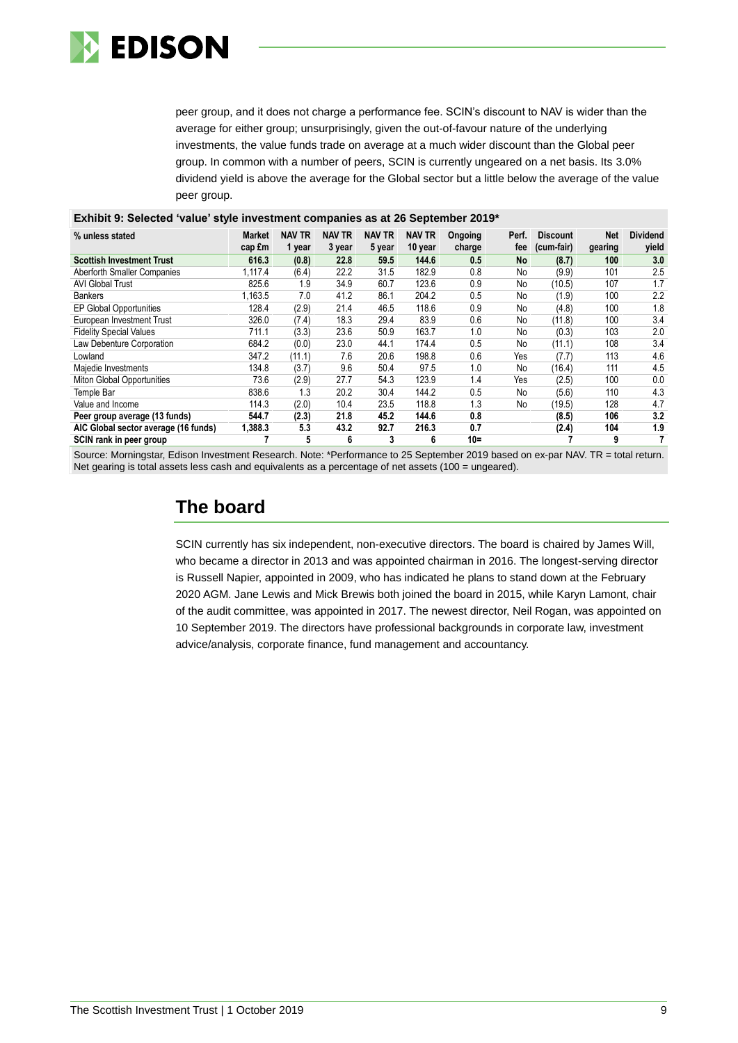

peer group, and it does not charge a performance fee. SCIN's discount to NAV is wider than the average for either group; unsurprisingly, given the out-of-favour nature of the underlying investments, the value funds trade on average at a much wider discount than the Global peer group. In common with a number of peers, SCIN is currently ungeared on a net basis. Its 3.0% dividend yield is above the average for the Global sector but a little below the average of the value peer group.

| Exhibit 9: Selected 'value' style investment companies as at 26 September 2019* |                         |                         |                         |                         |                   |                   |              |                               |                       |                          |
|---------------------------------------------------------------------------------|-------------------------|-------------------------|-------------------------|-------------------------|-------------------|-------------------|--------------|-------------------------------|-----------------------|--------------------------|
| % unless stated                                                                 | <b>Market</b><br>cap £m | <b>NAV TR</b><br>1 year | <b>NAV TR</b><br>3 year | <b>NAV TR</b><br>5 year | NAV TR<br>10 year | Ongoing<br>charge | Perf.<br>fee | <b>Discount</b><br>(cum-fair) | <b>Net</b><br>gearing | <b>Dividend</b><br>yield |
| <b>Scottish Investment Trust</b>                                                | 616.3                   | (0.8)                   | 22.8                    | 59.5                    | 144.6             | 0.5               | <b>No</b>    | (8.7)                         | 100                   | 3.0                      |
| Aberforth Smaller Companies                                                     | 1.117.4                 | (6.4)                   | 22.2                    | 31.5                    | 182.9             | 0.8               | No           | (9.9)                         | 101                   | 2.5                      |
| <b>AVI Global Trust</b>                                                         | 825.6                   | 1.9                     | 34.9                    | 60.7                    | 123.6             | 0.9               | No           | (10.5)                        | 107                   | 1.7                      |
| <b>Bankers</b>                                                                  | 1,163.5                 | 7.0                     | 41.2                    | 86.1                    | 204.2             | 0.5               | No           | (1.9)                         | 100                   | 2.2                      |
| EP Global Opportunities                                                         | 128.4                   | (2.9)                   | 21.4                    | 46.5                    | 118.6             | 0.9               | No           | (4.8)                         | 100                   | 1.8                      |
| European Investment Trust                                                       | 326.0                   | (7.4)                   | 18.3                    | 29.4                    | 83.9              | 0.6               | No           | (11.8)                        | 100                   | 3.4                      |
| <b>Fidelity Special Values</b>                                                  | 711.1                   | (3.3)                   | 23.6                    | 50.9                    | 163.7             | 1.0               | No           | (0.3)                         | 103                   | 2.0                      |
| Law Debenture Corporation                                                       | 684.2                   | (0.0)                   | 23.0                    | 44.1                    | 174.4             | 0.5               | No           | (11.1)                        | 108                   | 3.4                      |
| Lowland                                                                         | 347.2                   | (11.1)                  | 7.6                     | 20.6                    | 198.8             | 0.6               | Yes          | (7.7)                         | 113                   | 4.6                      |
| Majedie Investments                                                             | 134.8                   | (3.7)                   | 9.6                     | 50.4                    | 97.5              | 1.0               | No           | (16.4)                        | 111                   | 4.5                      |
| Miton Global Opportunities                                                      | 73.6                    | (2.9)                   | 27.7                    | 54.3                    | 123.9             | 1.4               | Yes          | (2.5)                         | 100                   | 0.0                      |
| Temple Bar                                                                      | 838.6                   | 1.3                     | 20.2                    | 30.4                    | 144.2             | 0.5               | No           | (5.6)                         | 110                   | 4.3                      |
| Value and Income                                                                | 114.3                   | (2.0)                   | 10.4                    | 23.5                    | 118.8             | 1.3               | No           | (19.5)                        | 128                   | 4.7                      |
| Peer group average (13 funds)                                                   | 544.7                   | (2.3)                   | 21.8                    | 45.2                    | 144.6             | 0.8               |              | (8.5)                         | 106                   | 3.2                      |
| AIC Global sector average (16 funds)                                            | 1,388.3                 | 5.3                     | 43.2                    | 92.7                    | 216.3             | 0.7               |              | (2.4)                         | 104                   | 1.9                      |
| SCIN rank in peer group                                                         | 7                       | 5                       | 6                       | 3                       | 6                 | $10 =$            |              | 7                             | 9                     | 7                        |

Source: Morningstar, Edison Investment Research. Note: \*Performance to 25 September 2019 based on ex-par NAV. TR = total return.

Net gearing is total assets less cash and equivalents as a percentage of net assets (100 = ungeared).

### **The board**

SCIN currently has six independent, non-executive directors. The board is chaired by James Will, who became a director in 2013 and was appointed chairman in 2016. The longest-serving director is Russell Napier, appointed in 2009, who has indicated he plans to stand down at the February 2020 AGM. Jane Lewis and Mick Brewis both joined the board in 2015, while Karyn Lamont, chair of the audit committee, was appointed in 2017. The newest director, Neil Rogan, was appointed on 10 September 2019. The directors have professional backgrounds in corporate law, investment advice/analysis, corporate finance, fund management and accountancy.